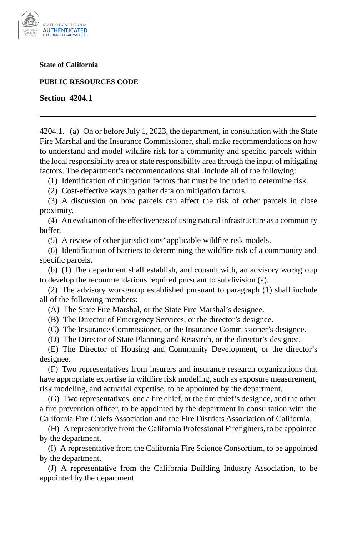

**State of California** 

**PUBLIC RESOURCES CODE** 

**Section 4204.1** 

4204.1. (a) On or before July 1, 2023, the department, in consultation with the State Fire Marshal and the Insurance Commissioner, shall make recommendations on how to understand and model wildfire risk for a community and specific parcels within the local responsibility area or state responsibility area through the input of mitigating factors. The department's recommendations shall include all of the following:

(1) Identification of mitigation factors that must be included to determine risk.

(2) Cost-effective ways to gather data on mitigation factors.

(3) A discussion on how parcels can affect the risk of other parcels in close proximity.

(4) An evaluation of the effectiveness of using natural infrastructure as a community buffer.

(5) A review of other jurisdictions' applicable wildfire risk models.

(6) Identification of barriers to determining the wildfire risk of a community and specific parcels.

(b) (1) The department shall establish, and consult with, an advisory workgroup to develop the recommendations required pursuant to subdivision (a).

(2) The advisory workgroup established pursuant to paragraph (1) shall include all of the following members:

(A) The State Fire Marshal, or the State Fire Marshal's designee.

(B) The Director of Emergency Services, or the director's designee.

(C) The Insurance Commissioner, or the Insurance Commissioner's designee.

(D) The Director of State Planning and Research, or the director's designee.

(E) The Director of Housing and Community Development, or the director's designee.

(F) Two representatives from insurers and insurance research organizations that have appropriate expertise in wildfire risk modeling, such as exposure measurement, risk modeling, and actuarial expertise, to be appointed by the department.

(G) Two representatives, one a fire chief, or the fire chief's designee, and the other a fire prevention officer, to be appointed by the department in consultation with the California Fire Chiefs Association and the Fire Districts Association of California.

(H) A representative from the California Professional Firefighters, to be appointed by the department.

(I) A representative from the California Fire Science Consortium, to be appointed by the department.

(J) A representative from the California Building Industry Association, to be appointed by the department.